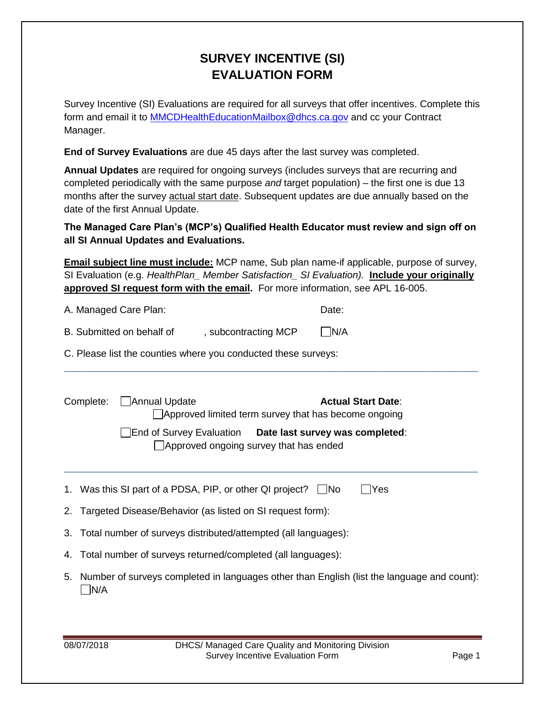## **SURVEY INCENTIVE (SI) EVALUATION FORM**

Survey Incentive (SI) Evaluations are required for all surveys that offer incentives. Complete this form and email it to [MMCDHealthEducationMailbox@dhcs.ca.gov](mailto:MMCDHealthEducationMailbox@dhcs.ca.gov) and cc your Contract Manager.

**End of Survey Evaluations** are due 45 days after the last survey was completed.

**Annual Updates** are required for ongoing surveys (includes surveys that are recurring and completed periodically with the same purpose *and* target population) – the first one is due 13 months after the survey actual start date. Subsequent updates are due annually based on the date of the first Annual Update.

**The Managed Care Plan's (MCP's) Qualified Health Educator must review and sign off on all SI Annual Updates and Evaluations.**

**Email subject line must include:** MCP name, Sub plan name-if applicable, purpose of survey, SI Evaluation (e.g. *HealthPlan\_ Member Satisfaction\_ SI Evaluation).* **Include your originally approved SI request form with the email.** For more information, see APL 16-005.

\_\_\_\_\_\_\_\_\_\_\_\_\_\_\_\_\_\_\_\_\_\_\_\_\_\_\_\_\_\_\_\_\_\_\_\_\_\_\_\_\_\_\_\_\_\_\_\_\_\_\_\_\_\_\_\_\_\_\_\_\_\_\_\_\_\_\_\_\_\_\_\_\_\_\_\_

| A. Managed Care Plan: | Date: |
|-----------------------|-------|
|                       |       |

| , subcontracting MCP | $\Box$ N/A |
|----------------------|------------|
|                      |            |

C. Please list the counties where you conducted these surveys:

| Complete: | Annual Update                                                                                       | Approved limited term survey that has become ongoing | <b>Actual Start Date:</b> |
|-----------|-----------------------------------------------------------------------------------------------------|------------------------------------------------------|---------------------------|
|           | End of Survey Evaluation  Date last survey was completed:<br>Approved ongoing survey that has ended |                                                      |                           |
|           | 1. Was this SI part of a PDSA, PIP, or other QI project? $\Box$ No                                  |                                                      | Yes                       |
|           | 2. Targeted Disease/Behavior (as listed on SI request form):                                        |                                                      |                           |
|           | 3. Total number of surveys distributed/attempted (all languages):                                   |                                                      |                           |
|           | 4. Total number of surveys returned/completed (all languages):                                      |                                                      |                           |
| ` N/A     | 5. Number of surveys completed in languages other than English (list the language and count):       |                                                      |                           |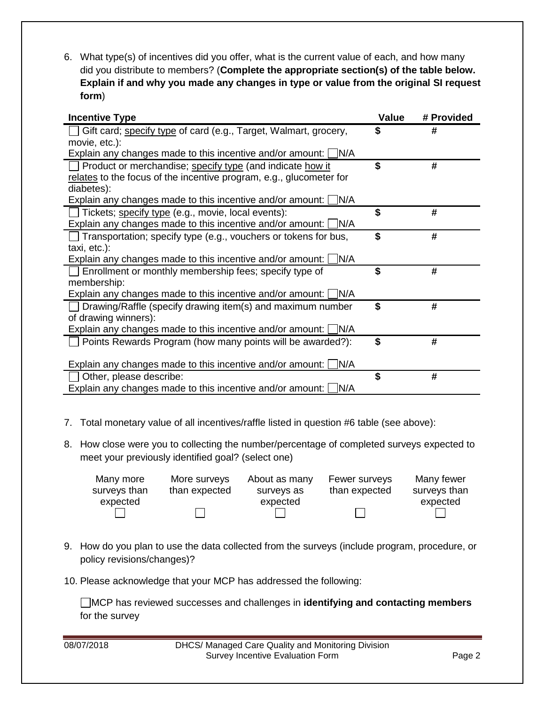6. What type(s) of incentives did you offer, what is the current value of each, and how many did you distribute to members? (**Complete the appropriate section(s) of the table below. Explain if and why you made any changes in type or value from the original SI request form**)

| <b>Incentive Type</b>                                                  | Value | # Provided |
|------------------------------------------------------------------------|-------|------------|
| Gift card; specify type of card (e.g., Target, Walmart, grocery,       | S     | #          |
| movie, etc.):                                                          |       |            |
| Explain any changes made to this incentive and/or amount: $\Box$ N/A   |       |            |
| Product or merchandise; specify type (and indicate how it              | \$    | #          |
| relates to the focus of the incentive program, e.g., glucometer for    |       |            |
| diabetes):                                                             |       |            |
| Explain any changes made to this incentive and/or amount: $\Box$ N/A   |       |            |
| $\Box$ Tickets; specify type (e.g., movie, local events):              | \$    | #          |
| Explain any changes made to this incentive and/or amount: $\Box$ N/A   |       |            |
| $\Box$ Transportation; specify type (e.g., vouchers or tokens for bus, | \$    | #          |
| taxi, etc.):                                                           |       |            |
| Explain any changes made to this incentive and/or amount: $\Box$ N/A   |       |            |
| Enrollment or monthly membership fees; specify type of                 | \$    | #          |
| membership:                                                            |       |            |
| Explain any changes made to this incentive and/or amount: $\Box$ N/A   |       |            |
| Drawing/Raffle (specify drawing item(s) and maximum number             | \$    | #          |
| of drawing winners):                                                   |       |            |
| Explain any changes made to this incentive and/or amount: $\Box$ N/A   |       |            |
| Points Rewards Program (how many points will be awarded?):             | \$    | #          |
|                                                                        |       |            |
| Explain any changes made to this incentive and/or amount: $\Box$ N/A   |       |            |
| Other, please describe:                                                | \$    | #          |
| Explain any changes made to this incentive and/or amount: $\Box$ N/A   |       |            |

- 7. Total monetary value of all incentives/raffle listed in question #6 table (see above):
- 8. How close were you to collecting the number/percentage of completed surveys expected to meet your previously identified goal? (select one)

| Many more    | More surveys  | About as many | Fewer surveys | Many fewer   |
|--------------|---------------|---------------|---------------|--------------|
| surveys than | than expected | surveys as    | than expected | surveys than |
| expected     |               | expected      |               | expected     |
|              |               |               |               |              |

- 9. How do you plan to use the data collected from the surveys (include program, procedure, or policy revisions/changes)?
- 10. Please acknowledge that your MCP has addressed the following:

MCP has reviewed successes and challenges in **identifying and contacting members** for the survey